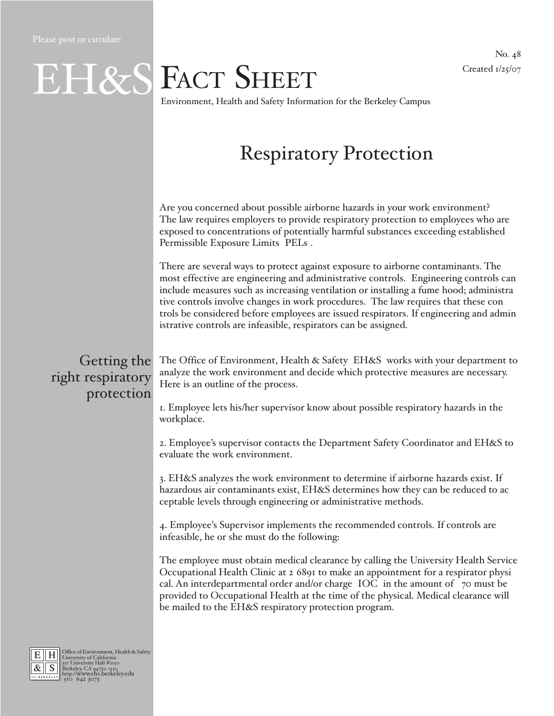#### No. 48 Created 1/25/07

# EH&S FACT SHEET

Environment, Health and Safety Information for the Berkeley Campus

# Respiratory Protection

Are you concerned about possible airborne hazards in your work environment? The law requires employers to provide respiratory protection to employees who are exposed to concentrations of potentially harmful substances exceeding established Permissible Exposure Limits (PELs).

There are several ways to protect against exposure to airborne contaminants. The most effective are engineering and administrative controls. (Engineering controls can include measures such as increasing ventilation or installing a fume hood; administrative controls involve changes in work procedures.) The law requires that these controls be considered before employees are issued respirators. If engineering and administrative controls are infeasible, respirators can be assigned.

### Getting the right respiratory protection

The Office of Environment, Health & Safety (EH&S) works with your department to analyze the work environment and decide which protective measures are necessary. Here is an outline of the process.

1. Employee lets his/her supervisor know about possible respiratory hazards in the workplace.

2. Employee's supervisor contacts the Department Safety Coordinator and EH&S to evaluate the work environment.

3. EH&S analyzes the work environment to determine if airborne hazards exist. If hazardous air contaminants exist, EH&S determines how they can be reduced to acceptable levels through engineering or administrative methods.

4. Employee's Supervisor implements the recommended controls. If controls are infeasible, he or she must do the following:

The employee must obtain medical clearance by calling the University Health Service Occupational Health Clinic at 2-6891 to make an appointment for a respirator physical. An interdepartmental order and/or charge (IOC) in the amount of \$70 must be provided to Occupational Health at the time of the physical. Medical clearance will be mailed to the EH&S respiratory protection program.



E H Office of Environment, Health & Safety<br>  $\frac{R}{\mathcal{R}}$  S Burkersity Nordital #1150<br>
Berkeley, CA 94720-1150<br> **http://www.ehs.berkeley.edu**<br> **http://www.ehs.berkeley.edu**<br>
(510) 642-3073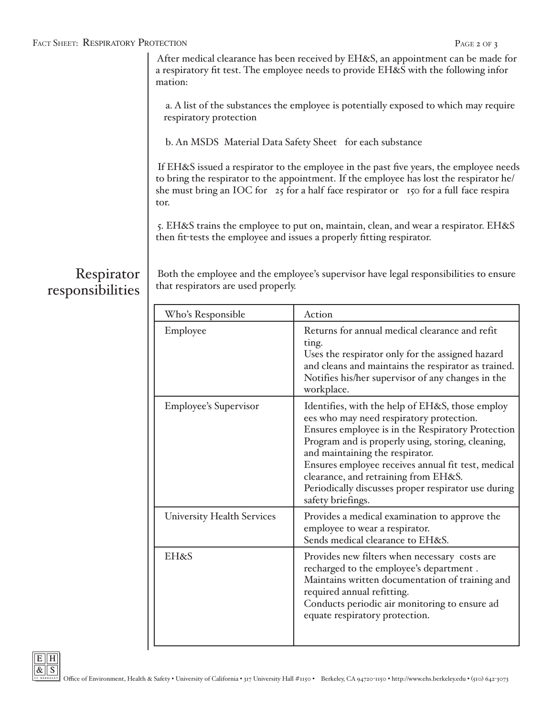#### FACT SHEET: RESPIRATORY PROTECTION **PAGE 2 OF 3**

 After medical clearance has been received by EH&S, an appointment can be made for a respiratory fit test. The employee needs to provide EH&S with the following information:

 a. A list of the substances the employee is potentially exposed to which may require respiratory protection

b. An MSDS (Material Data Safety Sheet ) for each substance

 If EH&S issued a respirator to the employee in the past five years, the employee needs to bring the respirator to the appointment. If the employee has lost the respirator he/ she must bring an IOC for \$25 for a half-face respirator or \$150 for a full-face respirator.

 5. EH&S trains the employee to put on, maintain, clean, and wear a respirator. EH&S then fit-tests the employee and issues a properly fitting respirator.

#### Respirator responsibilities

 Both the employee and the employee's supervisor have legal responsibilities to ensure that respirators are used properly.

| Who's Responsible                 | Action                                                                                                                                                                                                                                                                                                                                                                                                              |
|-----------------------------------|---------------------------------------------------------------------------------------------------------------------------------------------------------------------------------------------------------------------------------------------------------------------------------------------------------------------------------------------------------------------------------------------------------------------|
| Employee                          | Returns for annual medical clearance and refit-<br>ting.<br>Uses the respirator only for the assigned hazard<br>and cleans and maintains the respirator as trained.<br>Notifies his/her supervisor of any changes in the<br>workplace.                                                                                                                                                                              |
| <b>Employee's Supervisor</b>      | Identifies, with the help of EH&S, those employ-<br>ees who may need respiratory protection.<br>Ensures employee is in the Respiratory Protection<br>Program and is properly using, storing, cleaning,<br>and maintaining the respirator.<br>Ensures employee receives annual fit-test, medical<br>clearance, and retraining from EH&S.<br>Periodically discusses proper respirator use during<br>safety briefings. |
| <b>University Health Services</b> | Provides a medical examination to approve the<br>employee to wear a respirator.<br>Sends medical clearance to EH&S.                                                                                                                                                                                                                                                                                                 |
| EH&S                              | Provides new filters when necessary (costs are<br>recharged to the employee's department).<br>Maintains written documentation of training and<br>required annual refitting.<br>Conducts periodic air monitoring to ensure ad-<br>equate respiratory protection.                                                                                                                                                     |